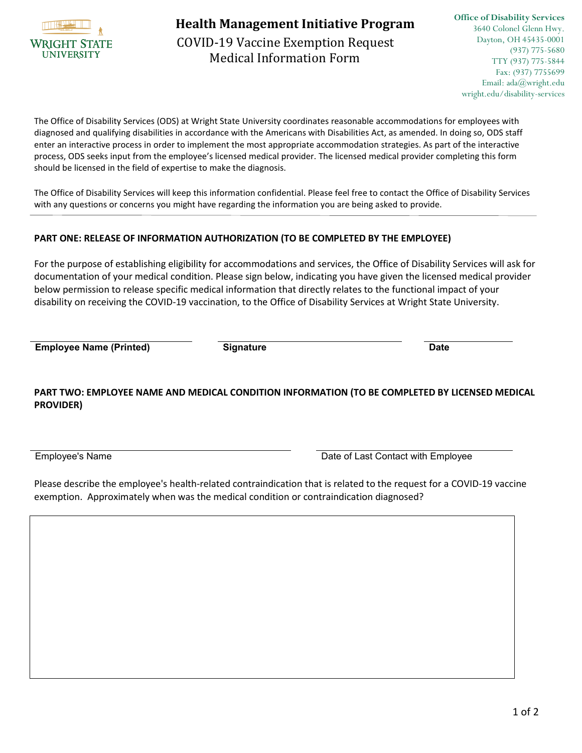

## **Health Management Initiative Program**

## COVID-19 Vaccine Exemption Request Medical Information Form

The Office of Disability Services (ODS) at Wright State University coordinates reasonable accommodations for employees with diagnosed and qualifying disabilities in accordance with the Americans with Disabilities Act, as amended. In doing so, ODS staff enter an interactive process in order to implement the most appropriate accommodation strategies. As part of the interactive process, ODS seeks input from the employee's licensed medical provider. The licensed medical provider completing this form should be licensed in the field of expertise to make the diagnosis.

The Office of Disability Services will keep this information confidential. Please feel free to contact the Office of Disability Services with any questions or concerns you might have regarding the information you are being asked to provide.

#### **PART ONE: RELEASE OF INFORMATION AUTHORIZATION (TO BE COMPLETED BY THE EMPLOYEE)**

For the purpose of establishing eligibility for accommodations and services, the Office of Disability Services will ask for documentation of your medical condition. Please sign below, indicating you have given the licensed medical provider below permission to release specific medical information that directly relates to the functional impact of your disability on receiving the COVID-19 vaccination, to the Office of Disability Services at Wright State University.

**Employee Name (Printed) Signature Date**

### **PART TWO: EMPLOYEE NAME AND MEDICAL CONDITION INFORMATION (TO BE COMPLETED BY LICENSED MEDICAL PROVIDER)**

Employee's Name **Date of Last Contact with Employee** 

Please describe the employee's health-related contraindication that is related to the request for a COVID-19 vaccine exemption. Approximately when was the medical condition or contraindication diagnosed?